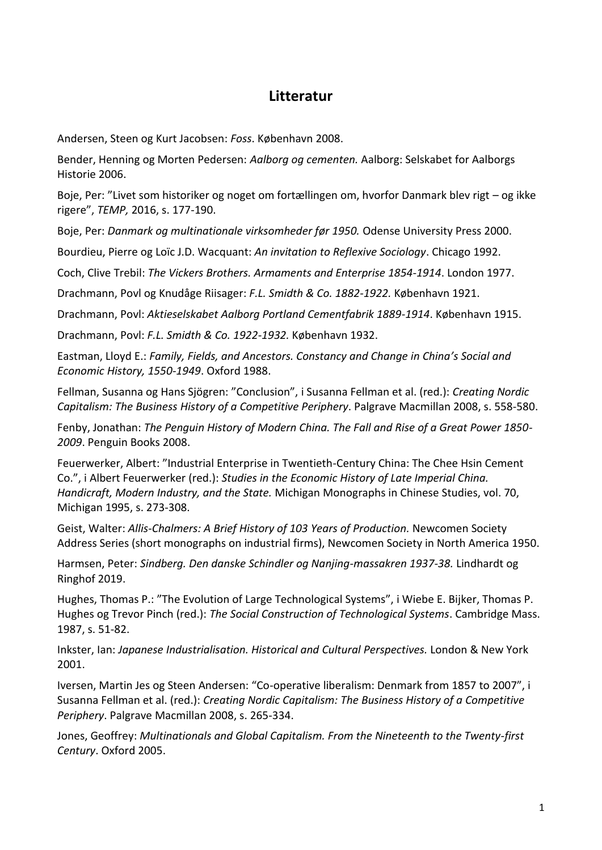## **Litteratur**

Andersen, Steen og Kurt Jacobsen: *Foss*. København 2008.

Bender, Henning og Morten Pedersen: *Aalborg og cementen.* Aalborg: Selskabet for Aalborgs Historie 2006.

Boje, Per: "Livet som historiker og noget om fortællingen om, hvorfor Danmark blev rigt – og ikke rigere", *TEMP,* 2016, s. 177-190.

Boje, Per: *Danmark og multinationale virksomheder før 1950.* Odense University Press 2000.

Bourdieu, Pierre og Loïc J.D. Wacquant: *An invitation to Reflexive Sociology*. Chicago 1992.

Coch, Clive Trebil: *The Vickers Brothers. Armaments and Enterprise 1854-1914*. London 1977.

Drachmann, Povl og Knudåge Riisager: *F.L. Smidth & Co. 1882-1922.* København 1921.

Drachmann, Povl: *Aktieselskabet Aalborg Portland Cementfabrik 1889-1914*. København 1915.

Drachmann, Povl: *F.L. Smidth & Co. 1922-1932.* København 1932.

Eastman, Lloyd E.: *Family, Fields, and Ancestors. Constancy and Change in China's Social and Economic History, 1550-1949*. Oxford 1988.

Fellman, Susanna og Hans Sjögren: "Conclusion", i Susanna Fellman et al. (red.): *Creating Nordic Capitalism: The Business History of a Competitive Periphery*. Palgrave Macmillan 2008, s. 558-580.

Fenby, Jonathan: *The Penguin History of Modern China. The Fall and Rise of a Great Power 1850- 2009*. Penguin Books 2008.

Feuerwerker, Albert: "Industrial Enterprise in Twentieth-Century China: The Chee Hsin Cement Co.", i Albert Feuerwerker (red.): *Studies in the Economic History of Late Imperial China. Handicraft, Modern Industry, and the State.* Michigan Monographs in Chinese Studies, vol. 70, Michigan 1995, s. 273-308.

Geist, Walter: *Allis-Chalmers: A Brief History of 103 Years of Production.* Newcomen Society Address Series (short monographs on industrial firms), Newcomen Society in North America 1950.

Harmsen, Peter: *Sindberg. Den danske Schindler og Nanjing-massakren 1937-38.* Lindhardt og Ringhof 2019.

Hughes, Thomas P.: "The Evolution of Large Technological Systems", i Wiebe E. Bijker, Thomas P. Hughes og Trevor Pinch (red.): *The Social Construction of Technological Systems*. Cambridge Mass. 1987, s. 51-82.

Inkster, Ian: *Japanese Industrialisation. Historical and Cultural Perspectives.* London & New York 2001.

Iversen, Martin Jes og Steen Andersen: "Co-operative liberalism: Denmark from 1857 to 2007", i Susanna Fellman et al. (red.): *Creating Nordic Capitalism: The Business History of a Competitive Periphery*. Palgrave Macmillan 2008, s. 265-334.

Jones, Geoffrey: *Multinationals and Global Capitalism. From the Nineteenth to the Twenty-first Century*. Oxford 2005.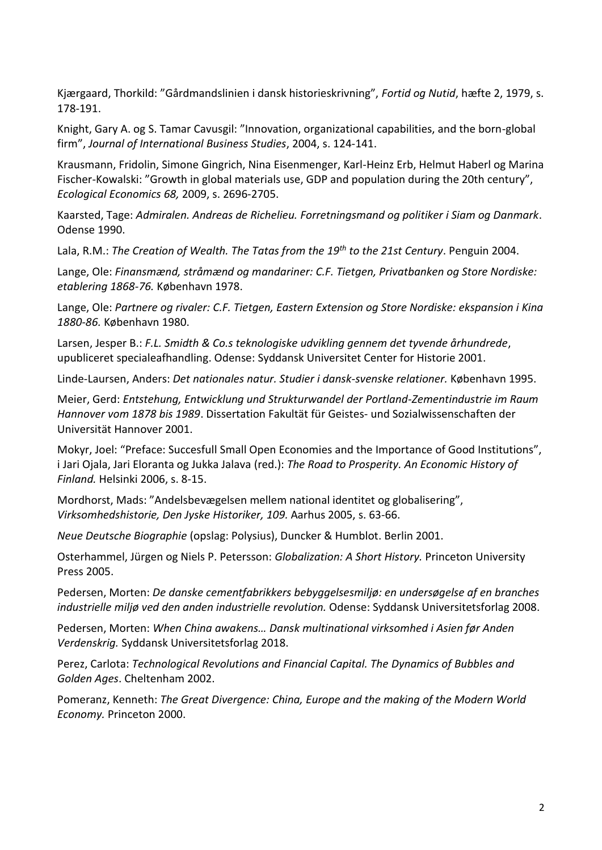Kjærgaard, Thorkild: "Gårdmandslinien i dansk historieskrivning", *Fortid og Nutid*, hæfte 2, 1979, s. 178-191.

Knight, Gary A. og S. Tamar Cavusgil: "Innovation, organizational capabilities, and the born-global firm", *Journal of International Business Studies*, 2004, s. 124-141.

Krausmann, Fridolin, Simone Gingrich, Nina Eisenmenger, Karl-Heinz Erb, Helmut Haberl og Marina Fischer-Kowalski: "Growth in global materials use, GDP and population during the 20th century", *Ecological Economics 68,* 2009, s. 2696-2705.

Kaarsted, Tage: *Admiralen. Andreas de Richelieu. Forretningsmand og politiker i Siam og Danmark*. Odense 1990.

Lala, R.M.: *The Creation of Wealth. The Tatas from the 19th to the 21st Century*. Penguin 2004.

Lange, Ole: *Finansmænd, stråmænd og mandariner: C.F. Tietgen, Privatbanken og Store Nordiske: etablering 1868-76.* København 1978.

Lange, Ole: *Partnere og rivaler: C.F. Tietgen, Eastern Extension og Store Nordiske: ekspansion i Kina 1880-86.* København 1980.

Larsen, Jesper B.: *F.L. Smidth & Co.s teknologiske udvikling gennem det tyvende århundrede*, upubliceret specialeafhandling. Odense: Syddansk Universitet Center for Historie 2001.

Linde-Laursen, Anders: *Det nationales natur. Studier i dansk-svenske relationer.* København 1995.

Meier, Gerd: *Entstehung, Entwicklung und Strukturwandel der Portland-Zementindustrie im Raum Hannover vom 1878 bis 1989*. Dissertation Fakultät für Geistes- und Sozialwissenschaften der Universität Hannover 2001.

Mokyr, Joel: "Preface: Succesfull Small Open Economies and the Importance of Good Institutions", i Jari Ojala, Jari Eloranta og Jukka Jalava (red.): *The Road to Prosperity. An Economic History of Finland.* Helsinki 2006, s. 8-15.

Mordhorst, Mads: "Andelsbevægelsen mellem national identitet og globalisering", *Virksomhedshistorie, Den Jyske Historiker, 109.* Aarhus 2005, s. 63-66.

*Neue Deutsche Biographie* (opslag: Polysius), Duncker & Humblot. Berlin 2001.

Osterhammel, Jürgen og Niels P. Petersson: *Globalization: A Short History.* Princeton University Press 2005.

Pedersen, Morten: *De danske cementfabrikkers bebyggelsesmiljø: en undersøgelse af en branches industrielle miljø ved den anden industrielle revolution.* Odense: Syddansk Universitetsforlag 2008.

Pedersen, Morten: *When China awakens… Dansk multinational virksomhed i Asien før Anden Verdenskrig.* Syddansk Universitetsforlag 2018.

Perez, Carlota: *Technological Revolutions and Financial Capital. The Dynamics of Bubbles and Golden Ages*. Cheltenham 2002.

Pomeranz, Kenneth: *The Great Divergence: China, Europe and the making of the Modern World Economy.* Princeton 2000.